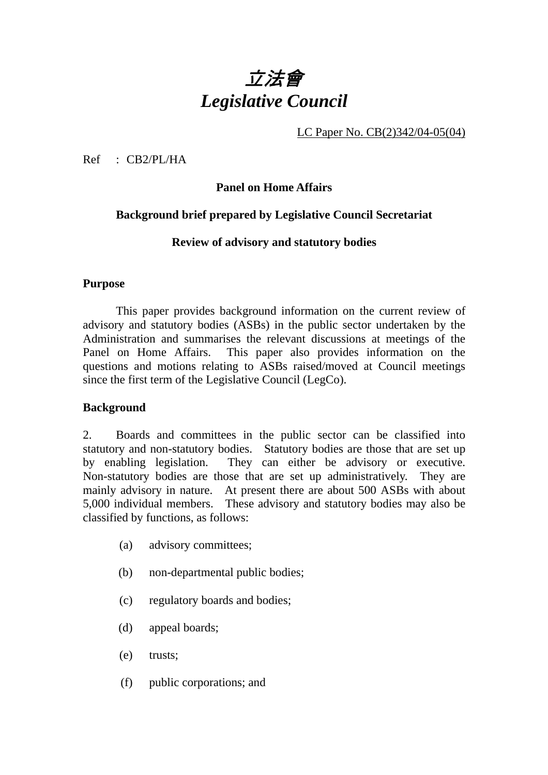# 立法會 *Legislative Council*

LC Paper No. CB(2)342/04-05(04)

Ref : CB2/PL/HA

# **Panel on Home Affairs**

# **Background brief prepared by Legislative Council Secretariat**

# **Review of advisory and statutory bodies**

#### **Purpose**

This paper provides background information on the current review of advisory and statutory bodies (ASBs) in the public sector undertaken by the Administration and summarises the relevant discussions at meetings of the Panel on Home Affairs. This paper also provides information on the questions and motions relating to ASBs raised/moved at Council meetings since the first term of the Legislative Council (LegCo).

# **Background**

2. Boards and committees in the public sector can be classified into statutory and non-statutory bodies. Statutory bodies are those that are set up by enabling legislation. They can either be advisory or executive. Non-statutory bodies are those that are set up administratively. They are mainly advisory in nature. At present there are about 500 ASBs with about 5,000 individual members. These advisory and statutory bodies may also be classified by functions, as follows:

- (a) advisory committees;
- (b) non-departmental public bodies;
- (c) regulatory boards and bodies;
- (d) appeal boards;
- (e) trusts;
- (f) public corporations; and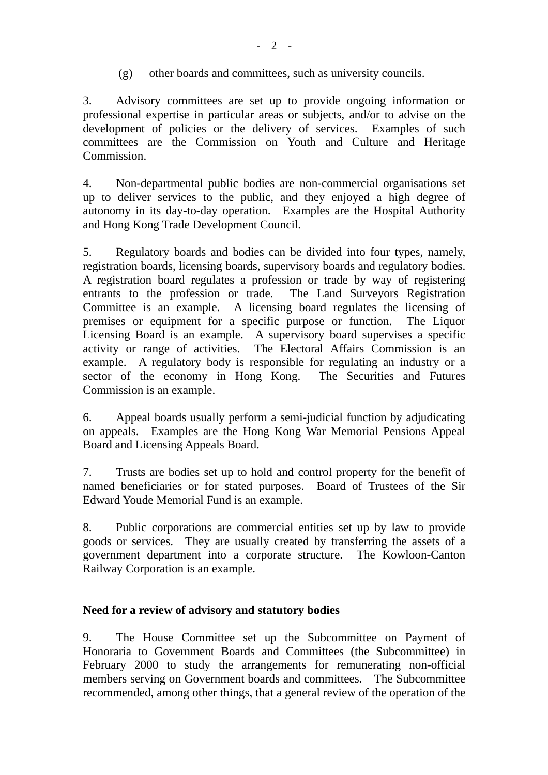(g) other boards and committees, such as university councils.

3. Advisory committees are set up to provide ongoing information or professional expertise in particular areas or subjects, and/or to advise on the development of policies or the delivery of services. Examples of such committees are the Commission on Youth and Culture and Heritage Commission.

4. Non-departmental public bodies are non-commercial organisations set up to deliver services to the public, and they enjoyed a high degree of autonomy in its day-to-day operation. Examples are the Hospital Authority and Hong Kong Trade Development Council.

5. Regulatory boards and bodies can be divided into four types, namely, registration boards, licensing boards, supervisory boards and regulatory bodies. A registration board regulates a profession or trade by way of registering entrants to the profession or trade. The Land Surveyors Registration Committee is an example. A licensing board regulates the licensing of premises or equipment for a specific purpose or function. The Liquor Licensing Board is an example. A supervisory board supervises a specific activity or range of activities. The Electoral Affairs Commission is an example. A regulatory body is responsible for regulating an industry or a sector of the economy in Hong Kong. The Securities and Futures Commission is an example.

6. Appeal boards usually perform a semi-judicial function by adjudicating on appeals. Examples are the Hong Kong War Memorial Pensions Appeal Board and Licensing Appeals Board.

7. Trusts are bodies set up to hold and control property for the benefit of named beneficiaries or for stated purposes. Board of Trustees of the Sir Edward Youde Memorial Fund is an example.

8. Public corporations are commercial entities set up by law to provide goods or services. They are usually created by transferring the assets of a government department into a corporate structure. The Kowloon-Canton Railway Corporation is an example.

# **Need for a review of advisory and statutory bodies**

9. The House Committee set up the Subcommittee on Payment of Honoraria to Government Boards and Committees (the Subcommittee) in February 2000 to study the arrangements for remunerating non-official members serving on Government boards and committees. The Subcommittee recommended, among other things, that a general review of the operation of the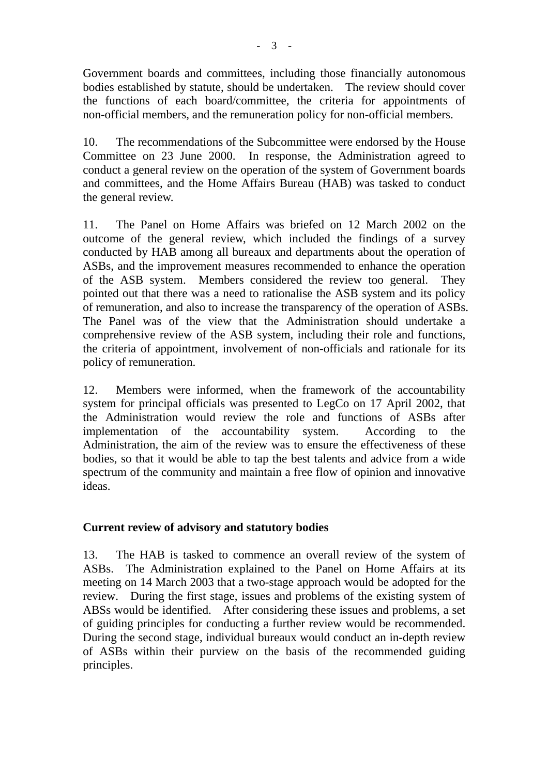Government boards and committees, including those financially autonomous bodies established by statute, should be undertaken. The review should cover the functions of each board/committee, the criteria for appointments of non-official members, and the remuneration policy for non-official members.

10. The recommendations of the Subcommittee were endorsed by the House Committee on 23 June 2000. In response, the Administration agreed to conduct a general review on the operation of the system of Government boards and committees, and the Home Affairs Bureau (HAB) was tasked to conduct the general review.

11. The Panel on Home Affairs was briefed on 12 March 2002 on the outcome of the general review, which included the findings of a survey conducted by HAB among all bureaux and departments about the operation of ASBs, and the improvement measures recommended to enhance the operation of the ASB system. Members considered the review too general. They pointed out that there was a need to rationalise the ASB system and its policy of remuneration, and also to increase the transparency of the operation of ASBs. The Panel was of the view that the Administration should undertake a comprehensive review of the ASB system, including their role and functions, the criteria of appointment, involvement of non-officials and rationale for its policy of remuneration.

12. Members were informed, when the framework of the accountability system for principal officials was presented to LegCo on 17 April 2002, that the Administration would review the role and functions of ASBs after implementation of the accountability system. According to the Administration, the aim of the review was to ensure the effectiveness of these bodies, so that it would be able to tap the best talents and advice from a wide spectrum of the community and maintain a free flow of opinion and innovative ideas.

# **Current review of advisory and statutory bodies**

13. The HAB is tasked to commence an overall review of the system of ASBs. The Administration explained to the Panel on Home Affairs at its meeting on 14 March 2003 that a two-stage approach would be adopted for the review. During the first stage, issues and problems of the existing system of ABSs would be identified. After considering these issues and problems, a set of guiding principles for conducting a further review would be recommended. During the second stage, individual bureaux would conduct an in-depth review of ASBs within their purview on the basis of the recommended guiding principles.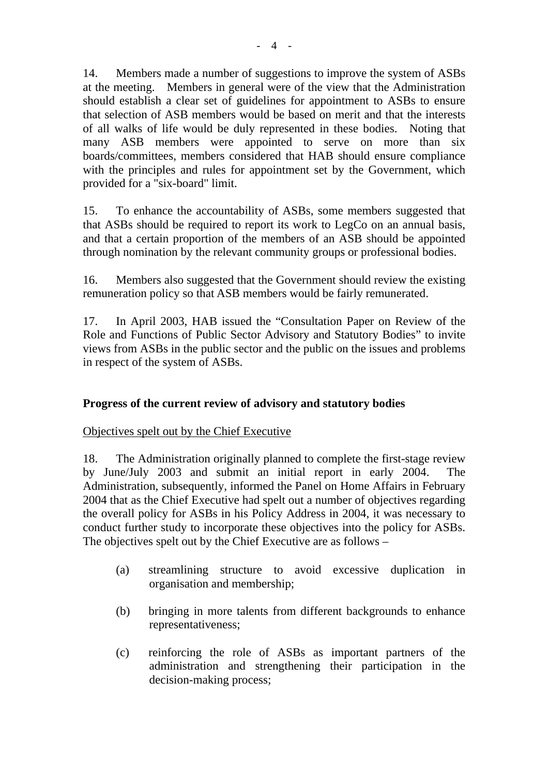14. Members made a number of suggestions to improve the system of ASBs at the meeting. Members in general were of the view that the Administration should establish a clear set of guidelines for appointment to ASBs to ensure that selection of ASB members would be based on merit and that the interests of all walks of life would be duly represented in these bodies. Noting that many ASB members were appointed to serve on more than six boards/committees, members considered that HAB should ensure compliance with the principles and rules for appointment set by the Government, which provided for a "six-board" limit.

15. To enhance the accountability of ASBs, some members suggested that that ASBs should be required to report its work to LegCo on an annual basis, and that a certain proportion of the members of an ASB should be appointed through nomination by the relevant community groups or professional bodies.

16. Members also suggested that the Government should review the existing remuneration policy so that ASB members would be fairly remunerated.

17. In April 2003, HAB issued the "Consultation Paper on Review of the Role and Functions of Public Sector Advisory and Statutory Bodies" to invite views from ASBs in the public sector and the public on the issues and problems in respect of the system of ASBs.

# **Progress of the current review of advisory and statutory bodies**

# Objectives spelt out by the Chief Executive

18. The Administration originally planned to complete the first-stage review by June/July 2003 and submit an initial report in early 2004. The Administration, subsequently, informed the Panel on Home Affairs in February 2004 that as the Chief Executive had spelt out a number of objectives regarding the overall policy for ASBs in his Policy Address in 2004, it was necessary to conduct further study to incorporate these objectives into the policy for ASBs. The objectives spelt out by the Chief Executive are as follows –

- (a) streamlining structure to avoid excessive duplication in organisation and membership;
- (b) bringing in more talents from different backgrounds to enhance representativeness;
- (c) reinforcing the role of ASBs as important partners of the administration and strengthening their participation in the decision-making process;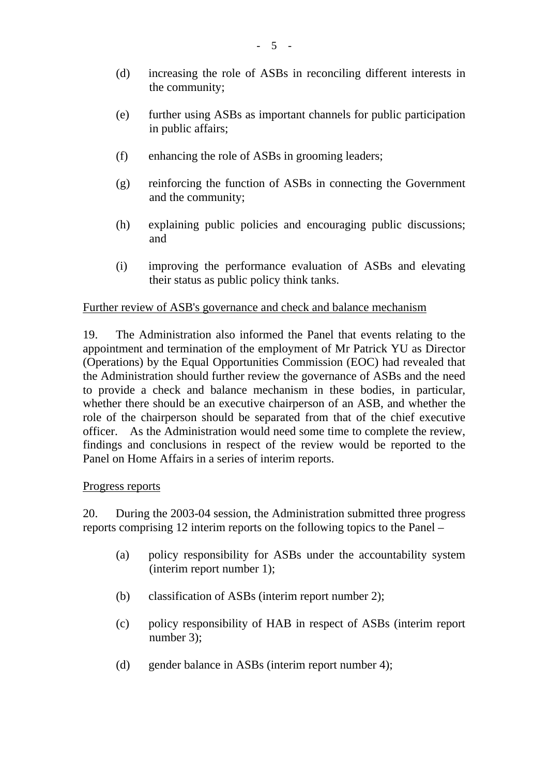- (d) increasing the role of ASBs in reconciling different interests in the community;
- (e) further using ASBs as important channels for public participation in public affairs;
- (f) enhancing the role of ASBs in grooming leaders;
- (g) reinforcing the function of ASBs in connecting the Government and the community;
- (h) explaining public policies and encouraging public discussions; and
- (i) improving the performance evaluation of ASBs and elevating their status as public policy think tanks.

#### Further review of ASB's governance and check and balance mechanism

19. The Administration also informed the Panel that events relating to the appointment and termination of the employment of Mr Patrick YU as Director (Operations) by the Equal Opportunities Commission (EOC) had revealed that the Administration should further review the governance of ASBs and the need to provide a check and balance mechanism in these bodies, in particular, whether there should be an executive chairperson of an ASB, and whether the role of the chairperson should be separated from that of the chief executive officer. As the Administration would need some time to complete the review, findings and conclusions in respect of the review would be reported to the Panel on Home Affairs in a series of interim reports.

#### Progress reports

20. During the 2003-04 session, the Administration submitted three progress reports comprising 12 interim reports on the following topics to the Panel –

- (a) policy responsibility for ASBs under the accountability system (interim report number 1);
- (b) classification of ASBs (interim report number 2);
- (c) policy responsibility of HAB in respect of ASBs (interim report number 3);
- (d) gender balance in ASBs (interim report number 4);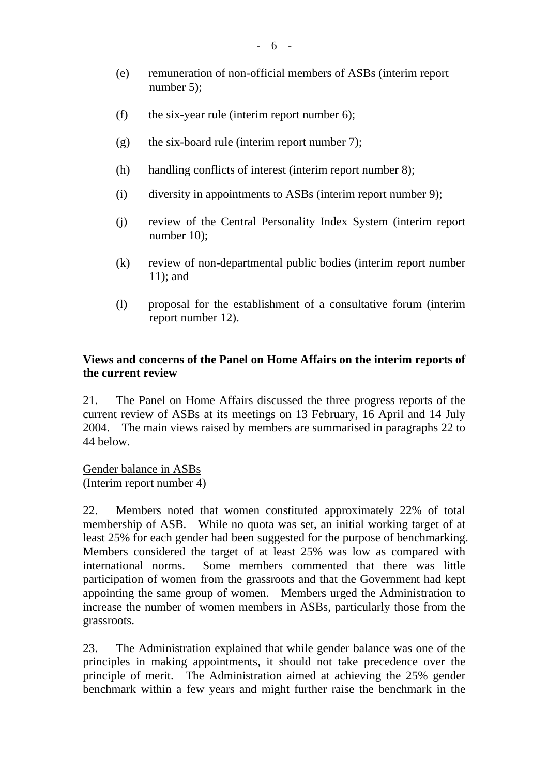- (e) remuneration of non-official members of ASBs (interim report number 5);
- (f) the six-year rule (interim report number  $6$ );
- (g) the six-board rule (interim report number 7);
- (h) handling conflicts of interest (interim report number 8);
- (i) diversity in appointments to ASBs (interim report number 9);
- (j) review of the Central Personality Index System (interim report number 10);
- (k) review of non-departmental public bodies (interim report number 11); and
- (l) proposal for the establishment of a consultative forum (interim report number 12).

# **Views and concerns of the Panel on Home Affairs on the interim reports of the current review**

21. The Panel on Home Affairs discussed the three progress reports of the current review of ASBs at its meetings on 13 February, 16 April and 14 July 2004. The main views raised by members are summarised in paragraphs 22 to 44 below.

Gender balance in ASBs (Interim report number 4)

22. Members noted that women constituted approximately 22% of total membership of ASB. While no quota was set, an initial working target of at least 25% for each gender had been suggested for the purpose of benchmarking. Members considered the target of at least 25% was low as compared with international norms. Some members commented that there was little participation of women from the grassroots and that the Government had kept appointing the same group of women. Members urged the Administration to increase the number of women members in ASBs, particularly those from the grassroots.

23. The Administration explained that while gender balance was one of the principles in making appointments, it should not take precedence over the principle of merit. The Administration aimed at achieving the 25% gender benchmark within a few years and might further raise the benchmark in the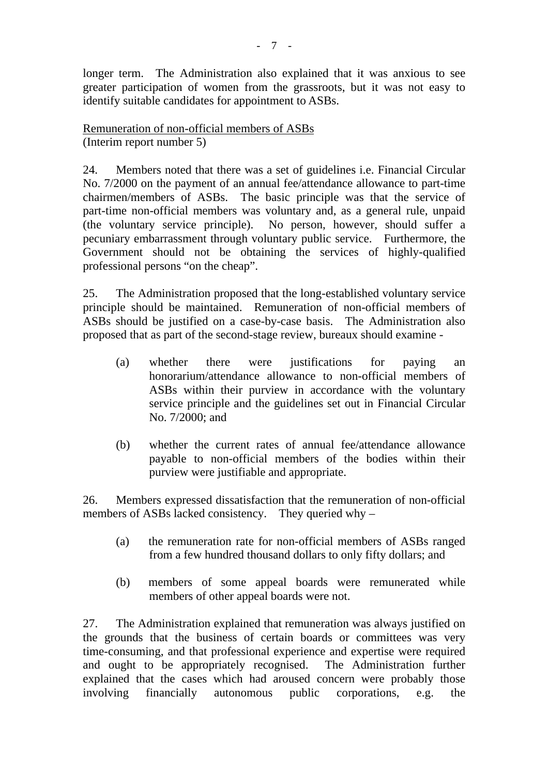longer term. The Administration also explained that it was anxious to see greater participation of women from the grassroots, but it was not easy to identify suitable candidates for appointment to ASBs.

Remuneration of non-official members of ASBs (Interim report number 5)

24. Members noted that there was a set of guidelines i.e. Financial Circular No. 7/2000 on the payment of an annual fee/attendance allowance to part-time chairmen/members of ASBs. The basic principle was that the service of part-time non-official members was voluntary and, as a general rule, unpaid (the voluntary service principle). No person, however, should suffer a pecuniary embarrassment through voluntary public service. Furthermore, the Government should not be obtaining the services of highly-qualified professional persons "on the cheap".

25. The Administration proposed that the long-established voluntary service principle should be maintained. Remuneration of non-official members of ASBs should be justified on a case-by-case basis. The Administration also proposed that as part of the second-stage review, bureaux should examine -

- (a) whether there were justifications for paying an honorarium/attendance allowance to non-official members of ASBs within their purview in accordance with the voluntary service principle and the guidelines set out in Financial Circular No. 7/2000; and
- (b) whether the current rates of annual fee/attendance allowance payable to non-official members of the bodies within their purview were justifiable and appropriate.

26. Members expressed dissatisfaction that the remuneration of non-official members of ASBs lacked consistency. They queried why –

- (a) the remuneration rate for non-official members of ASBs ranged from a few hundred thousand dollars to only fifty dollars; and
- (b) members of some appeal boards were remunerated while members of other appeal boards were not.

27. The Administration explained that remuneration was always justified on the grounds that the business of certain boards or committees was very time-consuming, and that professional experience and expertise were required and ought to be appropriately recognised. The Administration further explained that the cases which had aroused concern were probably those involving financially autonomous public corporations, e.g. the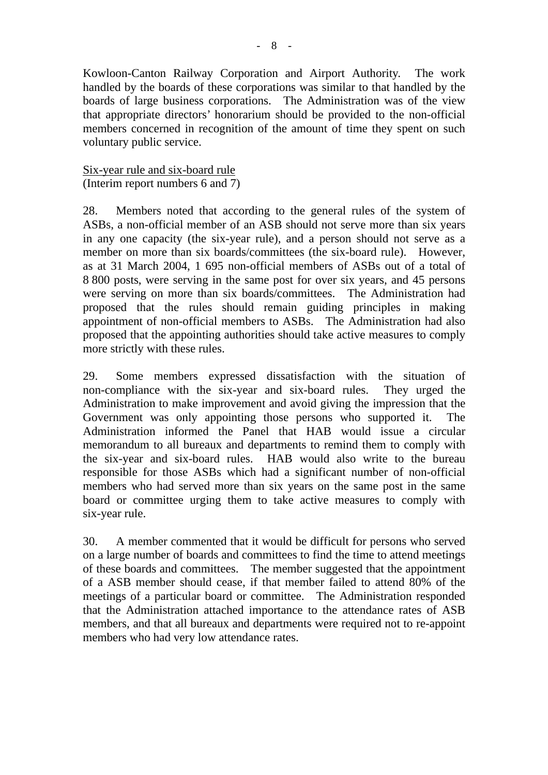Kowloon-Canton Railway Corporation and Airport Authority. The work handled by the boards of these corporations was similar to that handled by the boards of large business corporations. The Administration was of the view that appropriate directors' honorarium should be provided to the non-official members concerned in recognition of the amount of time they spent on such voluntary public service.

Six-year rule and six-board rule (Interim report numbers 6 and 7)

28. Members noted that according to the general rules of the system of ASBs, a non-official member of an ASB should not serve more than six years in any one capacity (the six-year rule), and a person should not serve as a member on more than six boards/committees (the six-board rule). However, as at 31 March 2004, 1 695 non-official members of ASBs out of a total of 8 800 posts, were serving in the same post for over six years, and 45 persons were serving on more than six boards/committees. The Administration had proposed that the rules should remain guiding principles in making appointment of non-official members to ASBs. The Administration had also proposed that the appointing authorities should take active measures to comply more strictly with these rules.

29. Some members expressed dissatisfaction with the situation of non-compliance with the six-year and six-board rules. They urged the Administration to make improvement and avoid giving the impression that the Government was only appointing those persons who supported it. The Administration informed the Panel that HAB would issue a circular memorandum to all bureaux and departments to remind them to comply with the six-year and six-board rules. HAB would also write to the bureau responsible for those ASBs which had a significant number of non-official members who had served more than six years on the same post in the same board or committee urging them to take active measures to comply with six-year rule.

30. A member commented that it would be difficult for persons who served on a large number of boards and committees to find the time to attend meetings of these boards and committees. The member suggested that the appointment of a ASB member should cease, if that member failed to attend 80% of the meetings of a particular board or committee. The Administration responded that the Administration attached importance to the attendance rates of ASB members, and that all bureaux and departments were required not to re-appoint members who had very low attendance rates.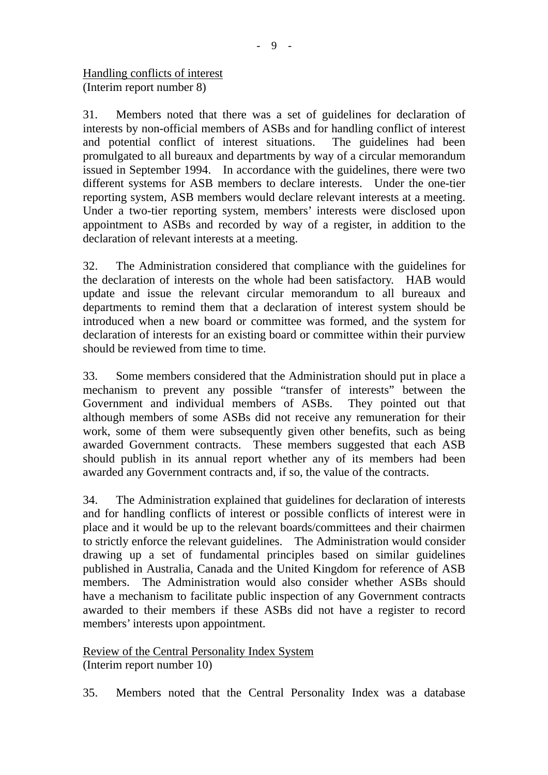31. Members noted that there was a set of guidelines for declaration of interests by non-official members of ASBs and for handling conflict of interest and potential conflict of interest situations. The guidelines had been promulgated to all bureaux and departments by way of a circular memorandum issued in September 1994. In accordance with the guidelines, there were two different systems for ASB members to declare interests. Under the one-tier reporting system, ASB members would declare relevant interests at a meeting. Under a two-tier reporting system, members' interests were disclosed upon appointment to ASBs and recorded by way of a register, in addition to the declaration of relevant interests at a meeting.

32. The Administration considered that compliance with the guidelines for the declaration of interests on the whole had been satisfactory. HAB would update and issue the relevant circular memorandum to all bureaux and departments to remind them that a declaration of interest system should be introduced when a new board or committee was formed, and the system for declaration of interests for an existing board or committee within their purview should be reviewed from time to time.

33. Some members considered that the Administration should put in place a mechanism to prevent any possible "transfer of interests" between the Government and individual members of ASBs. They pointed out that although members of some ASBs did not receive any remuneration for their work, some of them were subsequently given other benefits, such as being awarded Government contracts. These members suggested that each ASB should publish in its annual report whether any of its members had been awarded any Government contracts and, if so, the value of the contracts.

34. The Administration explained that guidelines for declaration of interests and for handling conflicts of interest or possible conflicts of interest were in place and it would be up to the relevant boards/committees and their chairmen to strictly enforce the relevant guidelines. The Administration would consider drawing up a set of fundamental principles based on similar guidelines published in Australia, Canada and the United Kingdom for reference of ASB members. The Administration would also consider whether ASBs should have a mechanism to facilitate public inspection of any Government contracts awarded to their members if these ASBs did not have a register to record members' interests upon appointment.

Review of the Central Personality Index System (Interim report number 10)

35. Members noted that the Central Personality Index was a database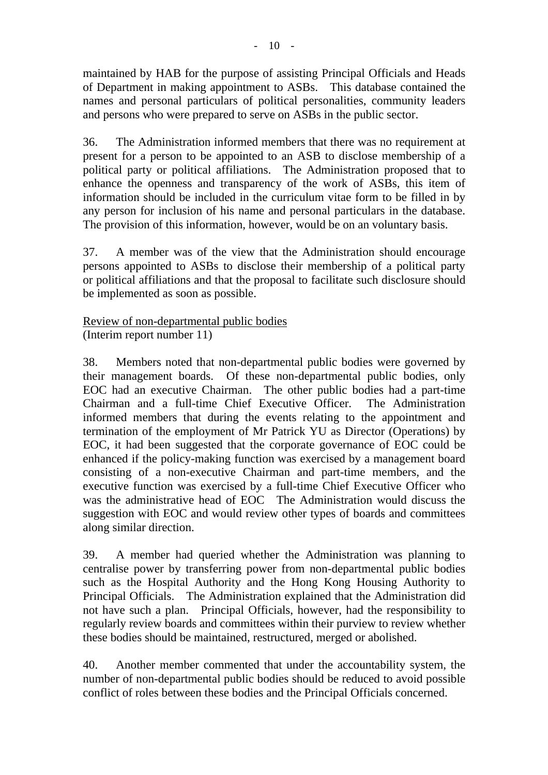maintained by HAB for the purpose of assisting Principal Officials and Heads of Department in making appointment to ASBs. This database contained the names and personal particulars of political personalities, community leaders and persons who were prepared to serve on ASBs in the public sector.

36. The Administration informed members that there was no requirement at present for a person to be appointed to an ASB to disclose membership of a political party or political affiliations. The Administration proposed that to enhance the openness and transparency of the work of ASBs, this item of information should be included in the curriculum vitae form to be filled in by any person for inclusion of his name and personal particulars in the database. The provision of this information, however, would be on an voluntary basis.

37. A member was of the view that the Administration should encourage persons appointed to ASBs to disclose their membership of a political party or political affiliations and that the proposal to facilitate such disclosure should be implemented as soon as possible.

Review of non-departmental public bodies (Interim report number 11)

38. Members noted that non-departmental public bodies were governed by their management boards. Of these non-departmental public bodies, only EOC had an executive Chairman. The other public bodies had a part-time Chairman and a full-time Chief Executive Officer. The Administration informed members that during the events relating to the appointment and termination of the employment of Mr Patrick YU as Director (Operations) by EOC, it had been suggested that the corporate governance of EOC could be enhanced if the policy-making function was exercised by a management board consisting of a non-executive Chairman and part-time members, and the executive function was exercised by a full-time Chief Executive Officer who was the administrative head of EOC The Administration would discuss the suggestion with EOC and would review other types of boards and committees along similar direction.

39. A member had queried whether the Administration was planning to centralise power by transferring power from non-departmental public bodies such as the Hospital Authority and the Hong Kong Housing Authority to Principal Officials. The Administration explained that the Administration did not have such a plan. Principal Officials, however, had the responsibility to regularly review boards and committees within their purview to review whether these bodies should be maintained, restructured, merged or abolished.

40. Another member commented that under the accountability system, the number of non-departmental public bodies should be reduced to avoid possible conflict of roles between these bodies and the Principal Officials concerned.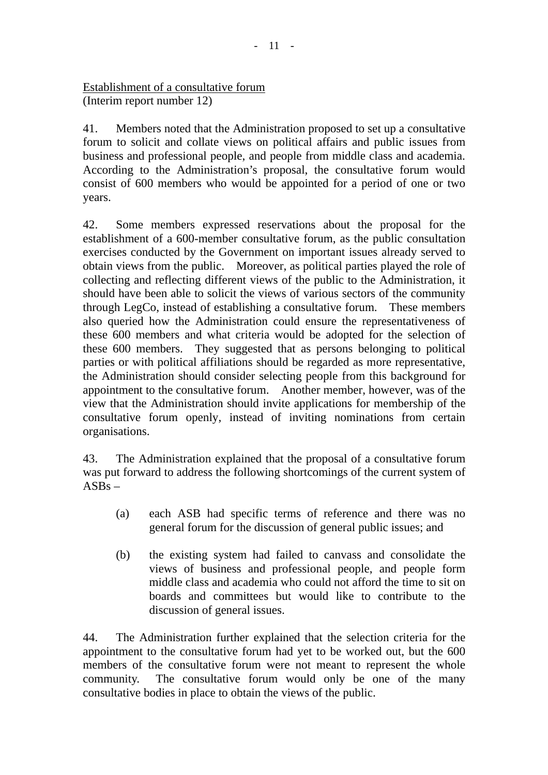Establishment of a consultative forum (Interim report number 12)

41. Members noted that the Administration proposed to set up a consultative forum to solicit and collate views on political affairs and public issues from business and professional people, and people from middle class and academia. According to the Administration's proposal, the consultative forum would consist of 600 members who would be appointed for a period of one or two years.

42. Some members expressed reservations about the proposal for the establishment of a 600-member consultative forum, as the public consultation exercises conducted by the Government on important issues already served to obtain views from the public. Moreover, as political parties played the role of collecting and reflecting different views of the public to the Administration, it should have been able to solicit the views of various sectors of the community through LegCo, instead of establishing a consultative forum. These members also queried how the Administration could ensure the representativeness of these 600 members and what criteria would be adopted for the selection of these 600 members. They suggested that as persons belonging to political parties or with political affiliations should be regarded as more representative, the Administration should consider selecting people from this background for appointment to the consultative forum. Another member, however, was of the view that the Administration should invite applications for membership of the consultative forum openly, instead of inviting nominations from certain organisations.

43. The Administration explained that the proposal of a consultative forum was put forward to address the following shortcomings of the current system of  $ASBs -$ 

- (a) each ASB had specific terms of reference and there was no general forum for the discussion of general public issues; and
- (b) the existing system had failed to canvass and consolidate the views of business and professional people, and people form middle class and academia who could not afford the time to sit on boards and committees but would like to contribute to the discussion of general issues.

44. The Administration further explained that the selection criteria for the appointment to the consultative forum had yet to be worked out, but the 600 members of the consultative forum were not meant to represent the whole community. The consultative forum would only be one of the many consultative bodies in place to obtain the views of the public.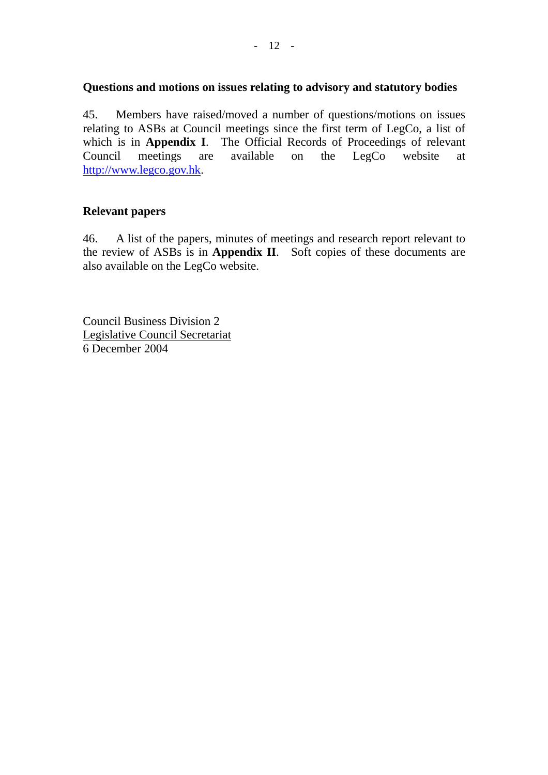#### **Questions and motions on issues relating to advisory and statutory bodies**

45. Members have raised/moved a number of questions/motions on issues relating to ASBs at Council meetings since the first term of LegCo, a list of which is in **Appendix I**. The Official Records of Proceedings of relevant Council meetings are available on the LegCo website at http://www.legco.gov.hk.

# **Relevant papers**

46. A list of the papers, minutes of meetings and research report relevant to the review of ASBs is in **Appendix II**. Soft copies of these documents are also available on the LegCo website.

Council Business Division 2 Legislative Council Secretariat 6 December 2004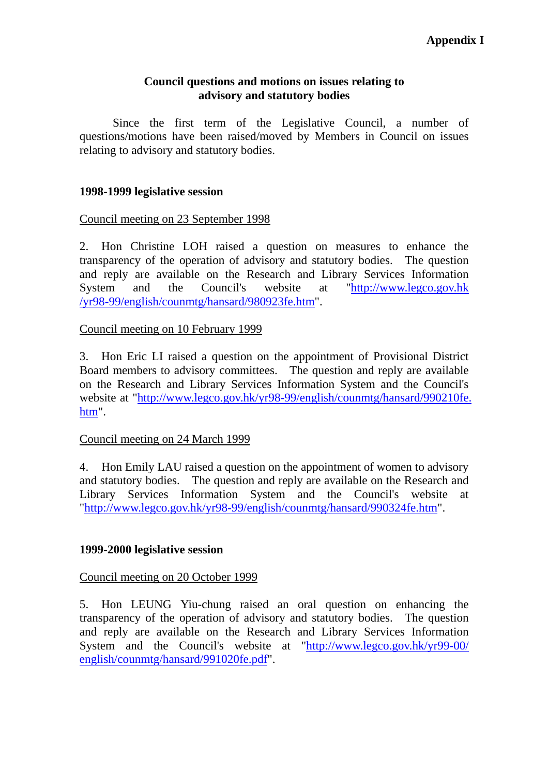#### **Council questions and motions on issues relating to advisory and statutory bodies**

Since the first term of the Legislative Council, a number of questions/motions have been raised/moved by Members in Council on issues relating to advisory and statutory bodies.

#### **1998-1999 legislative session**

#### Council meeting on 23 September 1998

2. Hon Christine LOH raised a question on measures to enhance the transparency of the operation of advisory and statutory bodies. The question and reply are available on the Research and Library Services Information System and the Council's website at "http://www.legco.gov.hk /yr98-99/english/counmtg/hansard/980923fe.htm".

#### Council meeting on 10 February 1999

3. Hon Eric LI raised a question on the appointment of Provisional District Board members to advisory committees. The question and reply are available on the Research and Library Services Information System and the Council's website at "http://www.legco.gov.hk/yr98-99/english/counmtg/hansard/990210fe. htm".

#### Council meeting on 24 March 1999

4. Hon Emily LAU raised a question on the appointment of women to advisory and statutory bodies. The question and reply are available on the Research and Library Services Information System and the Council's website at "http://www.legco.gov.hk/yr98-99/english/counmtg/hansard/990324fe.htm".

#### **1999-2000 legislative session**

#### Council meeting on 20 October 1999

5. Hon LEUNG Yiu-chung raised an oral question on enhancing the transparency of the operation of advisory and statutory bodies. The question and reply are available on the Research and Library Services Information System and the Council's website at "http://www.legco.gov.hk/yr99-00/ english/counmtg/hansard/991020fe.pdf".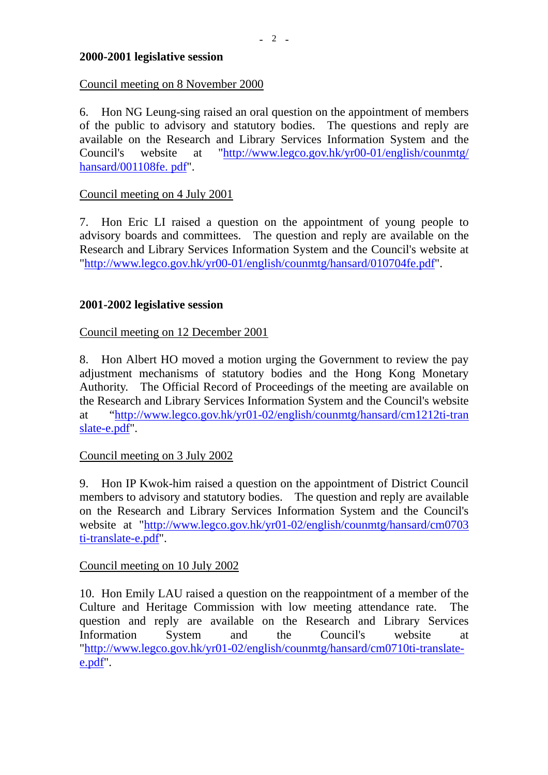#### **2000-2001 legislative session**

#### Council meeting on 8 November 2000

6. Hon NG Leung-sing raised an oral question on the appointment of members of the public to advisory and statutory bodies. The questions and reply are available on the Research and Library Services Information System and the Council's website at "http://www.legco.gov.hk/yr00-01/english/counmtg/ hansard/001108fe. pdf".

#### Council meeting on 4 July 2001

7. Hon Eric LI raised a question on the appointment of young people to advisory boards and committees. The question and reply are available on the Research and Library Services Information System and the Council's website at "http://www.legco.gov.hk/yr00-01/english/counmtg/hansard/010704fe.pdf".

# **2001-2002 legislative session**

# Council meeting on 12 December 2001

8. Hon Albert HO moved a motion urging the Government to review the pay adjustment mechanisms of statutory bodies and the Hong Kong Monetary Authority. The Official Record of Proceedings of the meeting are available on the Research and Library Services Information System and the Council's website at "http://www.legco.gov.hk/yr01-02/english/counmtg/hansard/cm1212ti-tran slate-e.pdf".

# Council meeting on 3 July 2002

9. Hon IP Kwok-him raised a question on the appointment of District Council members to advisory and statutory bodies. The question and reply are available on the Research and Library Services Information System and the Council's website at "http://www.legco.gov.hk/yr01-02/english/counmtg/hansard/cm0703 ti-translate-e.pdf".

# Council meeting on 10 July 2002

10. Hon Emily LAU raised a question on the reappointment of a member of the Culture and Heritage Commission with low meeting attendance rate. The question and reply are available on the Research and Library Services Information System and the Council's website at "http://www.legco.gov.hk/yr01-02/english/counmtg/hansard/cm0710ti-translatee.pdf".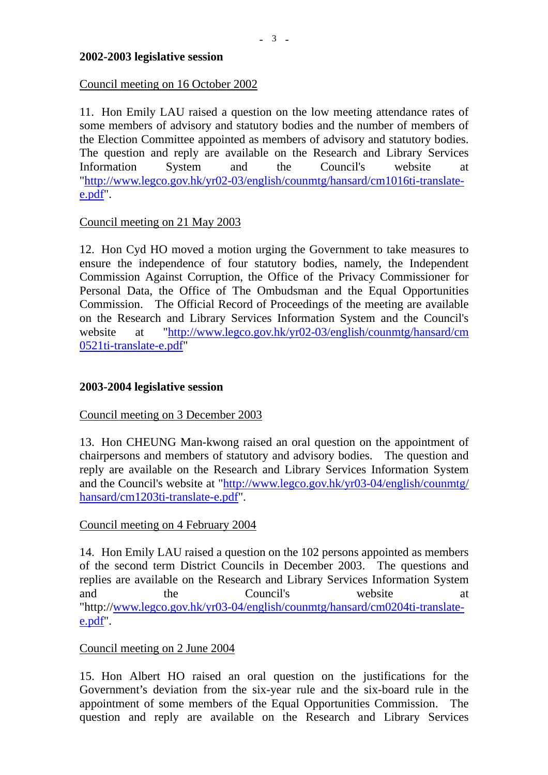#### **2002-2003 legislative session**

#### Council meeting on 16 October 2002

11. Hon Emily LAU raised a question on the low meeting attendance rates of some members of advisory and statutory bodies and the number of members of the Election Committee appointed as members of advisory and statutory bodies. The question and reply are available on the Research and Library Services Information System and the Council's website at "http://www.legco.gov.hk/yr02-03/english/counmtg/hansard/cm1016ti-translatee.pdf".

#### Council meeting on 21 May 2003

12. Hon Cyd HO moved a motion urging the Government to take measures to ensure the independence of four statutory bodies, namely, the Independent Commission Against Corruption, the Office of the Privacy Commissioner for Personal Data, the Office of The Ombudsman and the Equal Opportunities Commission. The Official Record of Proceedings of the meeting are available on the Research and Library Services Information System and the Council's website at "http://www.legco.gov.hk/yr02-03/english/counmtg/hansard/cm 0521ti-translate-e.pdf"

#### **2003-2004 legislative session**

#### Council meeting on 3 December 2003

13. Hon CHEUNG Man-kwong raised an oral question on the appointment of chairpersons and members of statutory and advisory bodies. The question and reply are available on the Research and Library Services Information System and the Council's website at "http://www.legco.gov.hk/yr03-04/english/counmtg/ hansard/cm1203ti-translate-e.pdf".

#### Council meeting on 4 February 2004

14. Hon Emily LAU raised a question on the 102 persons appointed as members of the second term District Councils in December 2003. The questions and replies are available on the Research and Library Services Information System and the Council's website at "http://www.legco.gov.hk/yr03-04/english/counmtg/hansard/cm0204ti-translatee.pdf".

#### Council meeting on 2 June 2004

15. Hon Albert HO raised an oral question on the justifications for the Government's deviation from the six-year rule and the six-board rule in the appointment of some members of the Equal Opportunities Commission. The question and reply are available on the Research and Library Services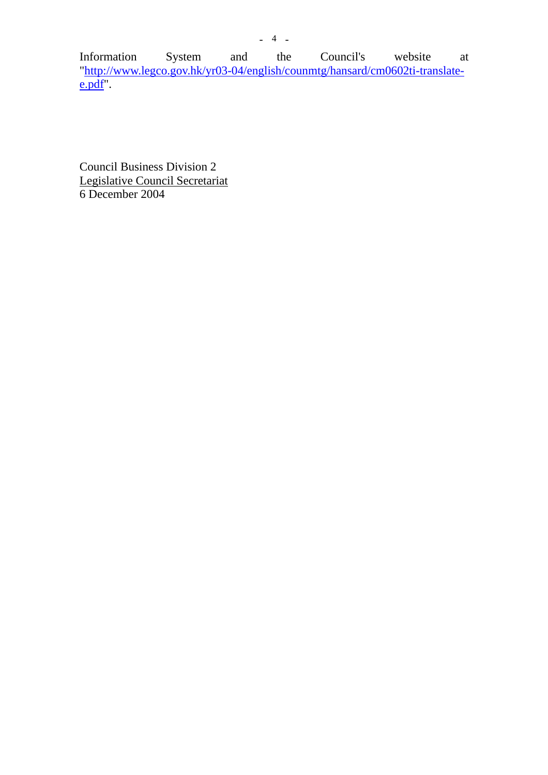Information System and the Council's website at "http://www.legco.gov.hk/yr03-04/english/counmtg/hansard/cm0602ti-translatee.pdf".

Council Business Division 2 Legislative Council Secretariat 6 December 2004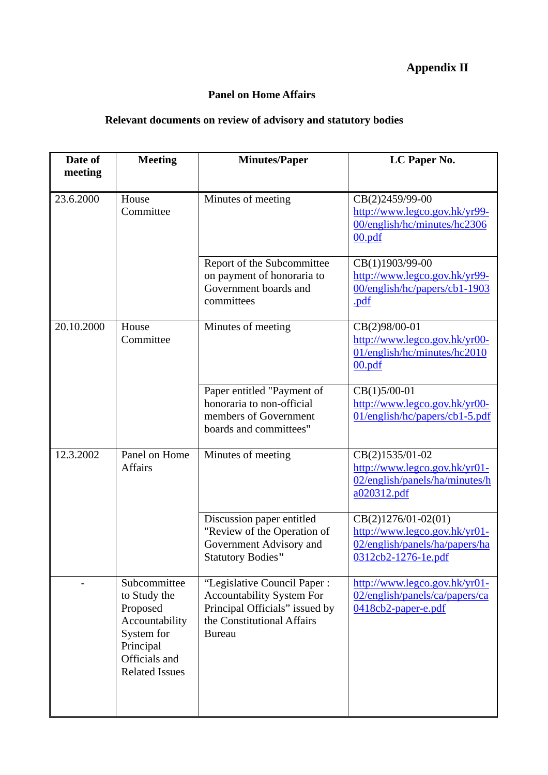# **Appendix II**

# **Panel on Home Affairs**

# **Relevant documents on review of advisory and statutory bodies**

| Date of    | <b>Meeting</b>                                                                                                                  | <b>Minutes/Paper</b>                                                                                                                             | LC Paper No.                                                                                                  |
|------------|---------------------------------------------------------------------------------------------------------------------------------|--------------------------------------------------------------------------------------------------------------------------------------------------|---------------------------------------------------------------------------------------------------------------|
| meeting    |                                                                                                                                 |                                                                                                                                                  |                                                                                                               |
| 23.6.2000  | House<br>Committee                                                                                                              | Minutes of meeting                                                                                                                               | CB(2)2459/99-00<br>http://www.legco.gov.hk/yr99-<br>00/english/hc/minutes/hc2306<br>00.pdf                    |
|            |                                                                                                                                 | Report of the Subcommittee<br>on payment of honoraria to<br>Government boards and<br>committees                                                  | CB(1)1903/99-00<br>http://www.legco.gov.hk/yr99-<br>00/english/hc/papers/cb1-1903<br>.pdf                     |
| 20.10.2000 | House<br>Committee                                                                                                              | Minutes of meeting                                                                                                                               | CB(2)98/00-01<br>http://www.legco.gov.hk/yr00-<br>01/english/hc/minutes/hc2010<br>00.pdf                      |
|            |                                                                                                                                 | Paper entitled "Payment of<br>honoraria to non-official<br>members of Government<br>boards and committees"                                       | $CB(1)5/00-01$<br>http://www.legco.gov.hk/yr00-<br>01/english/hc/papers/cb1-5.pdf                             |
| 12.3.2002  | Panel on Home<br><b>Affairs</b>                                                                                                 | Minutes of meeting                                                                                                                               | CB(2)1535/01-02<br>http://www.legco.gov.hk/yr01-<br>02/english/panels/ha/minutes/h<br>a020312.pdf             |
|            |                                                                                                                                 | Discussion paper entitled<br>"Review of the Operation of<br>Government Advisory and<br><b>Statutory Bodies"</b>                                  | CB(2)1276/01-02(01)<br>http://www.legco.gov.hk/yr01-<br>02/english/panels/ha/papers/ha<br>0312cb2-1276-1e.pdf |
|            | Subcommittee<br>to Study the<br>Proposed<br>Accountability<br>System for<br>Principal<br>Officials and<br><b>Related Issues</b> | "Legislative Council Paper:<br><b>Accountability System For</b><br>Principal Officials" issued by<br>the Constitutional Affairs<br><b>Bureau</b> | http://www.legco.gov.hk/yr01-<br>02/english/panels/ca/papers/ca<br>0418cb2-paper-e.pdf                        |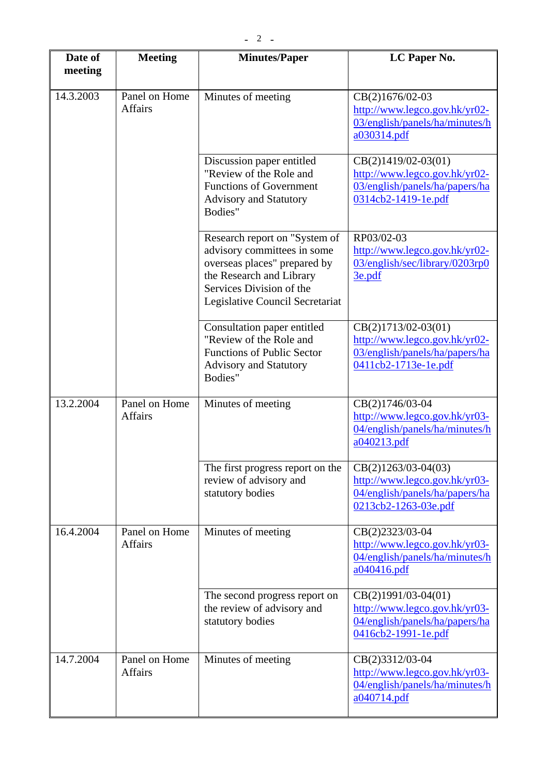| Date of<br>meeting | <b>Meeting</b>                  | <b>Minutes/Paper</b>                                                                                                                                                                    | LC Paper No.                                                                                                     |
|--------------------|---------------------------------|-----------------------------------------------------------------------------------------------------------------------------------------------------------------------------------------|------------------------------------------------------------------------------------------------------------------|
| 14.3.2003          | Panel on Home<br><b>Affairs</b> | Minutes of meeting                                                                                                                                                                      | CB(2)1676/02-03<br>http://www.legco.gov.hk/yr02-<br>03/english/panels/ha/minutes/h<br>a030314.pdf                |
|                    |                                 | Discussion paper entitled<br>"Review of the Role and<br><b>Functions of Government</b><br><b>Advisory and Statutory</b><br>Bodies"                                                      | $CB(2)1419/02-03(01)$<br>http://www.legco.gov.hk/yr02-<br>03/english/panels/ha/papers/ha<br>0314cb2-1419-1e.pdf  |
|                    |                                 | Research report on "System of<br>advisory committees in some<br>overseas places" prepared by<br>the Research and Library<br>Services Division of the<br>Legislative Council Secretariat | RP03/02-03<br>http://www.legco.gov.hk/yr02-<br>03/english/sec/library/0203rp0<br>3e.pdf                          |
|                    |                                 | Consultation paper entitled<br>"Review of the Role and<br><b>Functions of Public Sector</b><br><b>Advisory and Statutory</b><br>Bodies"                                                 | $CB(2)1713/02-03(01)$<br>http://www.legco.gov.hk/yr02-<br>03/english/panels/ha/papers/ha<br>0411cb2-1713e-1e.pdf |
| 13.2.2004          | Panel on Home<br><b>Affairs</b> | Minutes of meeting                                                                                                                                                                      | CB(2)1746/03-04<br>http://www.legco.gov.hk/yr03-<br>04/english/panels/ha/minutes/h<br>a040213.pdf                |
|                    |                                 | The first progress report on the<br>review of advisory and<br>statutory bodies                                                                                                          | $CB(2)1263/03-04(03)$<br>http://www.legco.gov.hk/yr03-<br>04/english/panels/ha/papers/ha<br>0213cb2-1263-03e.pdf |
| 16.4.2004          | Panel on Home<br><b>Affairs</b> | Minutes of meeting                                                                                                                                                                      | CB(2)2323/03-04<br>http://www.legco.gov.hk/yr03-<br>04/english/panels/ha/minutes/h<br>a040416.pdf                |
|                    |                                 | The second progress report on<br>the review of advisory and<br>statutory bodies                                                                                                         | $CB(2)1991/03-04(01)$<br>http://www.legco.gov.hk/yr03-<br>04/english/panels/ha/papers/ha<br>0416cb2-1991-1e.pdf  |
| 14.7.2004          | Panel on Home<br><b>Affairs</b> | Minutes of meeting                                                                                                                                                                      | CB(2)3312/03-04<br>http://www.legco.gov.hk/yr03-<br>04/english/panels/ha/minutes/h<br>a040714.pdf                |